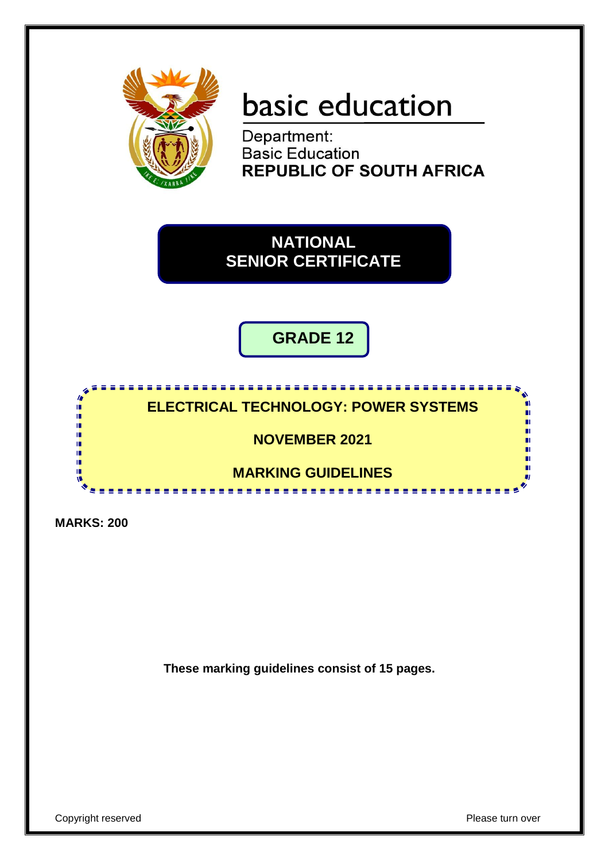

# basic education

Department: **Basic Education REPUBLIC OF SOUTH AFRICA** 

**NATIONAL SENIOR CERTIFICATE**

**GRADE 12**

### **ELECTRICAL TECHNOLOGY: POWER SYSTEMS**

**NOVEMBER 2021**

**MARKING GUIDELINES**

**MARKS: 200**

т ıŕ ıŕ ı۳

**These marking guidelines consist of 15 pages.**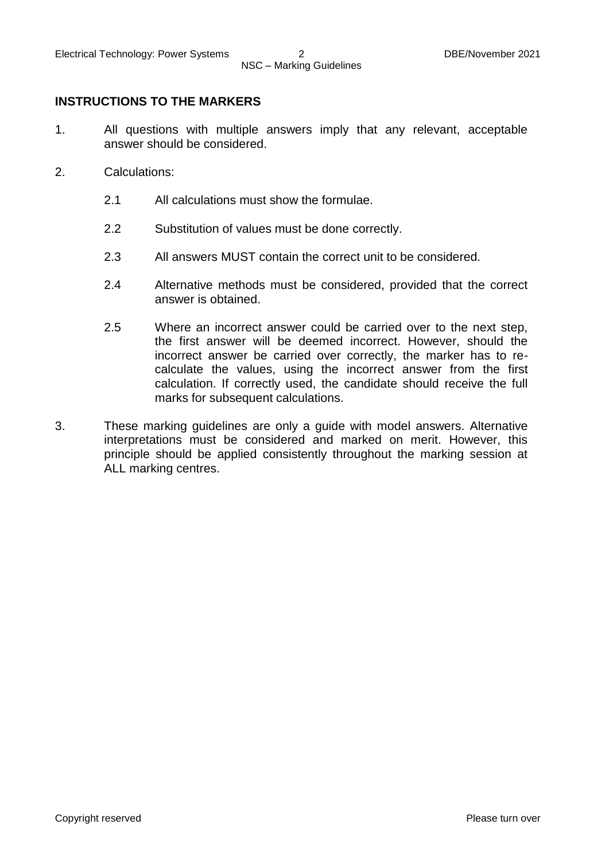#### **INSTRUCTIONS TO THE MARKERS**

- 1. All questions with multiple answers imply that any relevant, acceptable answer should be considered.
- 2. Calculations:
	- 2.1 All calculations must show the formulae.
	- 2.2 Substitution of values must be done correctly.
	- 2.3 All answers MUST contain the correct unit to be considered.
	- 2.4 Alternative methods must be considered, provided that the correct answer is obtained.
	- 2.5 Where an incorrect answer could be carried over to the next step, the first answer will be deemed incorrect. However, should the incorrect answer be carried over correctly, the marker has to recalculate the values, using the incorrect answer from the first calculation. If correctly used, the candidate should receive the full marks for subsequent calculations.
- 3. These marking guidelines are only a guide with model answers. Alternative interpretations must be considered and marked on merit. However, this principle should be applied consistently throughout the marking session at ALL marking centres.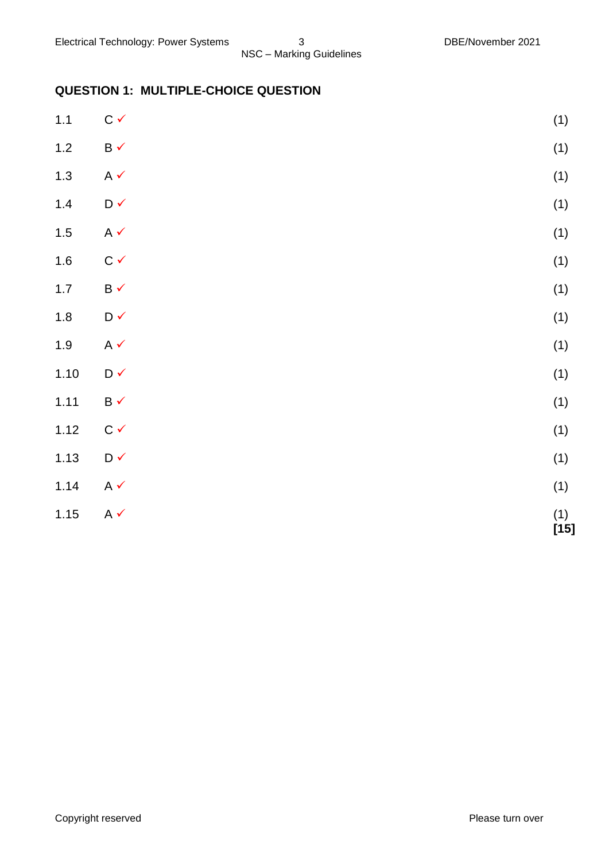# **QUESTION 1: MULTIPLE-CHOICE QUESTION**

| $1.1$ | $C \checkmark$                  | (1)           |
|-------|---------------------------------|---------------|
| $1.2$ | $\mathsf B\prec$                | (1)           |
| $1.3$ | $A \checkmark$                  | (1)           |
| $1.4$ | $\mathsf{D}\,\checkmark$        | (1)           |
| $1.5$ | $A \checkmark$                  | (1)           |
| $1.6$ | $C \checkmark$                  | (1)           |
| $1.7$ | $\mathsf B\mathbin{\checkmark}$ | (1)           |
| $1.8$ | $\mathsf{D}\,\checkmark$        | (1)           |
| $1.9$ | $A \checkmark$                  | (1)           |
| 1.10  | $\mathsf{D}\,\checkmark$        | (1)           |
| 1.11  | $\mathsf B\prec$                | (1)           |
| 1.12  | $C \checkmark$                  | (1)           |
| 1.13  | $\mathsf{D}\,\checkmark$        | (1)           |
| 1.14  | $A \checkmark$                  | (1)           |
| 1.15  | $A \checkmark$                  | $(1)$<br>[15] |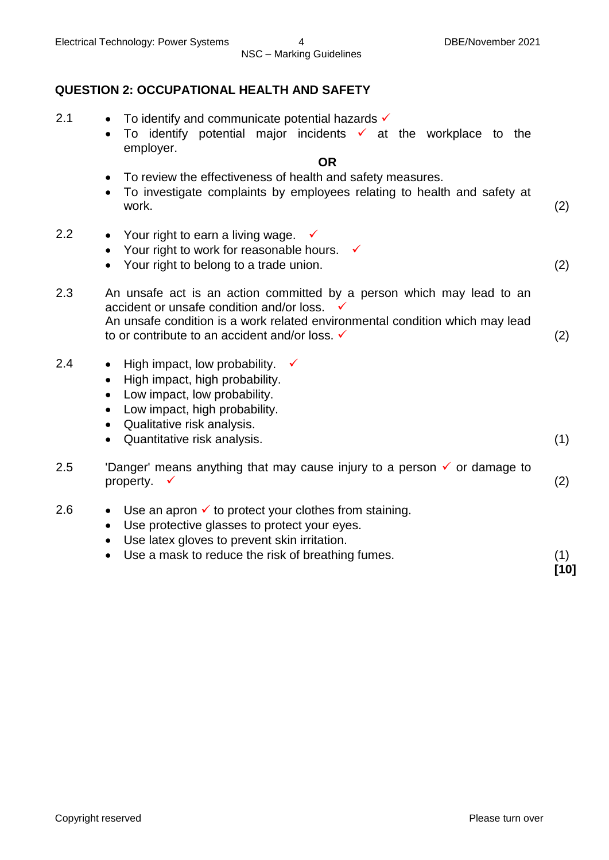#### **QUESTION 2: OCCUPATIONAL HEALTH AND SAFETY**

- 2.1  $\bullet$  To identify and communicate potential hazards  $\checkmark$ 
	- $\bullet$  To identify potential major incidents  $\checkmark$  at the workplace to the employer.

#### **OR**

- To review the effectiveness of health and safety measures.
- To investigate complaints by employees relating to health and safety at work. (2)
- 2.2 Your right to earn a living wage.  $\checkmark$ 
	- Your right to work for reasonable hours.  $\checkmark$
	- Your right to belong to a trade union. (2)
- 2.3 An unsafe act is an action committed by a person which may lead to an accident or unsafe condition and/or loss. ✓ An unsafe condition is a work related environmental condition which may lead to or contribute to an accident and/or loss.  $\checkmark$  (2)
- 2.4 High impact, low probability.  $\checkmark$ 
	- High impact, high probability.
	- Low impact, low probability.
	- Low impact, high probability.
	- Qualitative risk analysis.
	- Quantitative risk analysis. (1)
- 2.5 'Danger' means anything that may cause injury to a person  $\checkmark$  or damage to property.  $\checkmark$  (2)
- 2.6  $\bullet$  Use an apron  $\checkmark$  to protect your clothes from staining.
	- Use protective glasses to protect your eyes.
	- Use latex gloves to prevent skin irritation.
	- Use a mask to reduce the risk of breathing fumes. (1)

**[10]**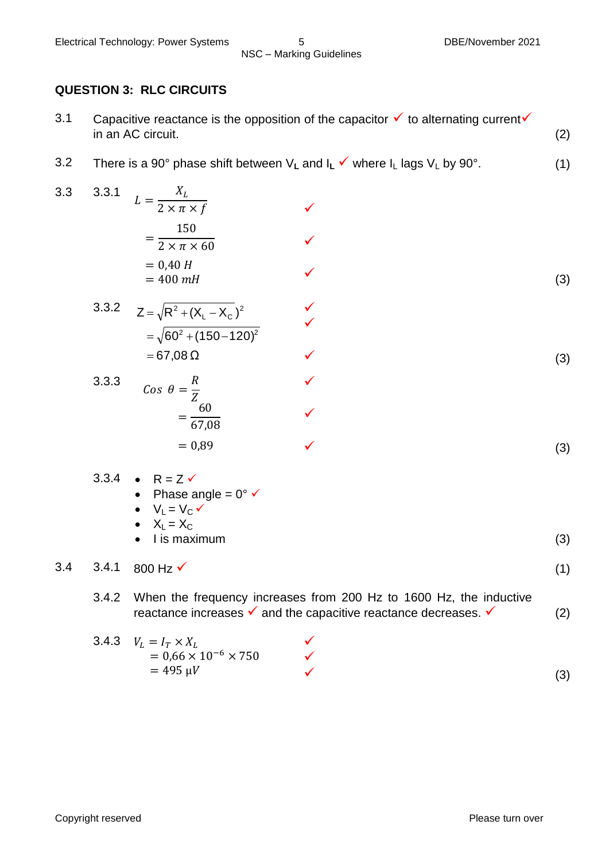#### **QUESTION 3: RLC CIRCUITS**

- 3.1 Capacitive reactance is the opposition of the capacitor  $\checkmark$  to alternating current  $\checkmark$ in an AC circuit. (2)
- 3.2 There is a 90° phase shift between  $V_L$  and  $I_L \checkmark$  where  $I_L$  lags  $V_L$  by 90°. (1)
- 3.3 3.3.1 X  $\overline{c}$  $=$  $\mathbf{1}$  $\overline{c}$  $= 0.40 H$  $=400$  mH  $\checkmark$  $\checkmark$  $\checkmark$  (3) 3.3.2  $=$  67,08  $\Omega$  $=\sqrt{60^2+(150\!-\!120)^2}$  $Z = \sqrt{R^2 + (X_1 - X_C)^2}$  $L - \Lambda_C$  $=\sqrt{R^2+(X_1-X_0)^2}$   $\sqrt{}$  $\checkmark$  $\checkmark$  (3) 3.3.3  $\boldsymbol{R}$ Z  $=$ 6 6  $= 0.89$  $\checkmark$  $\checkmark$  $\checkmark$  (3) 3.3.4 •  $R = Z \checkmark$ • Phase angle =  $0^{\circ}$   $\checkmark$  $\bullet$   $V_L = V_C \checkmark$  $\bullet$   $X_L = X_C$  I is maximum (3)  $3.4$  3.4.1 800 Hz  $\checkmark$  (1) 3.4.2 When the frequency increases from 200 Hz to 1600 Hz, the inductive reactance increases  $\checkmark$  and the capacitive reactance decreases.  $\checkmark$  (2)

3.4.3 
$$
V_L = I_T \times X_L
$$
  
= 0.66 × 10<sup>-6</sup> × 750  
= 495  $\mu V$  (3)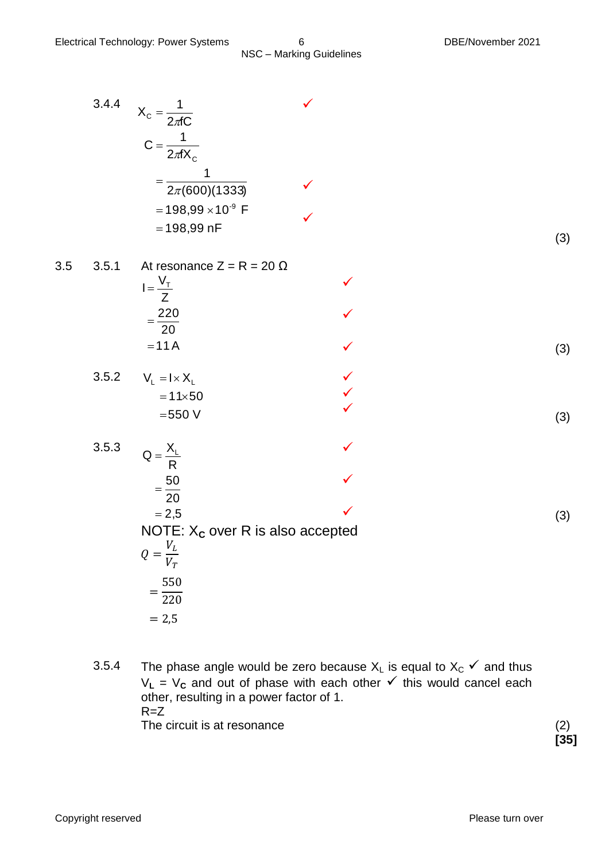3.4.4 
$$
X_c = \frac{1}{2\pi C}
$$
  
\n $C = \frac{1}{2\pi X_c}$   
\n $= \frac{1}{2\pi (600)(1333)}$ 

3.5 3.5.1 At resonance  $Z = R = 20 \Omega$ Z  $I = \frac{V_{\tau}}{I}$ 

$$
=\frac{220}{20}
$$
  
= 11 A (3)

$$
3.5.2 \qquad V_{L} = I \times X_{L}
$$
\n
$$
= 11 \times 50
$$
\n
$$
= 550 \text{ V}
$$
\n(3)

3.5.3 
$$
Q = \frac{X_L}{R}
$$
  
\n
$$
= \frac{50}{20}
$$
  
\n
$$
= 2.5
$$
  
\nNOTE:  $X_C$  over R is also accepted  
\n
$$
Q = \frac{V_L}{V_T}
$$
  
\n
$$
= \frac{550}{220}
$$
  
\n
$$
= 2.5
$$
 (3)

3.5.4 The phase angle would be zero because  $X_L$  is equal to  $X_C \checkmark$  and thus  $V_L = V_c$  and out of phase with each other  $\checkmark$  this would cancel each other, resulting in a power factor of 1.  $R = Z$ The circuit is at resonance (2)

**[35]**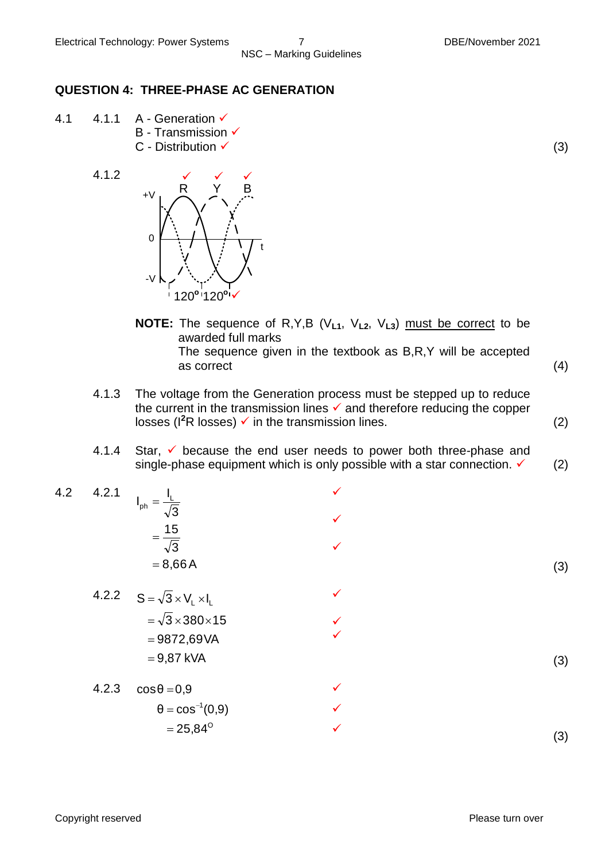#### **QUESTION 4: THREE-PHASE AC GENERATION**

- 4.1  $4.1.1$  A Generation  $\checkmark$ **B** - Transmission ✔  $C$  - Distribution  $\checkmark$  (3)
	- 4.1.2



- **NOTE:** The sequence of R,Y,B (V**L1**, V**L2**, V**L3**) must be correct to be awarded full marks The sequence given in the textbook as B,R,Y will be accepted as correct (4)
- 4.1.3 The voltage from the Generation process must be stepped up to reduce the current in the transmission lines  $\checkmark$  and therefore reducing the copper losses ( $I^2R$  losses)  $\checkmark$  in the transmission lines. (2)
- 4.1.4 Star,  $\checkmark$  because the end user needs to power both three-phase and single-phase equipment which is only possible with a star connection.  $\checkmark$  (2)

 $\checkmark$ 

 $\checkmark$ 

 $\checkmark$ 

 $\checkmark$ 

 $\checkmark$  $\checkmark$ 

- 4.2 4.2.1  $= 8,66A$ 3  $=\frac{15}{7}$ 3  $I_{ph} = \frac{I_L}{L}$ 
	- 4.2.2 9,87 kVA 9872,69VA  $=\surd 3\!\times\!380\!\times\!15$  $S = \sqrt{3} \times V_L \times I_L$

4.2.3 
$$
\cos \theta = 0.9
$$
  
\n $\theta = \cos^{-1}(0.9)$   
\n $= 25.84^{\circ}$ 

Copyright reserved Please turn over

(3)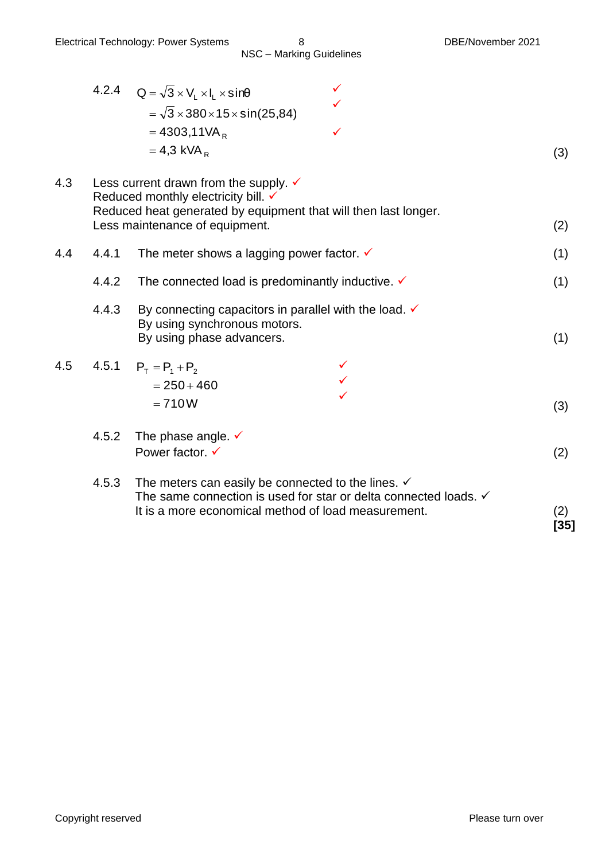|     |       | 4.2.4 $Q = \sqrt{3} \times V_1 \times I_1 \times \sin\theta$<br>$=\sqrt{3}\times380\times15\times\sin(25,84)$<br>$= 4303,11VAR$<br>$= 4.3$ kVA <sub>R</sub>                              |               |
|-----|-------|------------------------------------------------------------------------------------------------------------------------------------------------------------------------------------------|---------------|
| 4.3 |       | Less current drawn from the supply. $\checkmark$<br>Reduced monthly electricity bill. V<br>Reduced heat generated by equipment that will then last longer.                               | (3)           |
|     |       | Less maintenance of equipment.                                                                                                                                                           | (2)           |
| 4.4 | 4.4.1 | The meter shows a lagging power factor. $\checkmark$                                                                                                                                     | (1)           |
|     | 4.4.2 | The connected load is predominantly inductive. $\checkmark$                                                                                                                              | (1)           |
|     | 4.4.3 | By connecting capacitors in parallel with the load. $\checkmark$<br>By using synchronous motors.<br>By using phase advancers.                                                            | (1)           |
| 4.5 |       | 4.5.1 $P_T = P_1 + P_2$<br>$= 250 + 460$<br>$= 710W$                                                                                                                                     | (3)           |
|     | 4.5.2 | The phase angle. $\checkmark$<br>Power factor. √                                                                                                                                         | (2)           |
|     | 4.5.3 | The meters can easily be connected to the lines. $\checkmark$<br>The same connection is used for star or delta connected loads. √<br>It is a more economical method of load measurement. | (2)<br>$[35]$ |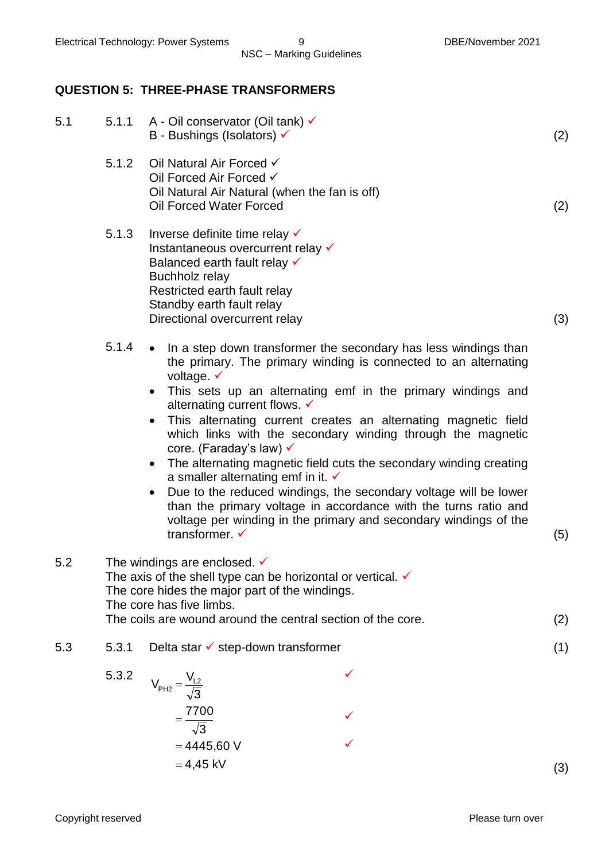#### **QUESTION 5: THREE-PHASE TRANSFORMERS**

| 5.1 |                                                                                                                                                                                                                                                                | 5.1.1 A - Oil conservator (Oil tank) √<br>B - Bushings (Isolators) √                                                                                                                                                                                                                                                                                                                                                                                                                                                                                                                                                                                                                                                                                                                                                  | (2) |
|-----|----------------------------------------------------------------------------------------------------------------------------------------------------------------------------------------------------------------------------------------------------------------|-----------------------------------------------------------------------------------------------------------------------------------------------------------------------------------------------------------------------------------------------------------------------------------------------------------------------------------------------------------------------------------------------------------------------------------------------------------------------------------------------------------------------------------------------------------------------------------------------------------------------------------------------------------------------------------------------------------------------------------------------------------------------------------------------------------------------|-----|
|     | 5.1.2                                                                                                                                                                                                                                                          | Oil Natural Air Forced √<br>Oil Forced Air Forced √<br>Oil Natural Air Natural (when the fan is off)<br>Oil Forced Water Forced                                                                                                                                                                                                                                                                                                                                                                                                                                                                                                                                                                                                                                                                                       | (2) |
|     | 5.1.3                                                                                                                                                                                                                                                          | Inverse definite time relay v<br>Instantaneous overcurrent relay v<br>Balanced earth fault relay v<br>Buchholz relay<br>Restricted earth fault relay<br>Standby earth fault relay<br>Directional overcurrent relay                                                                                                                                                                                                                                                                                                                                                                                                                                                                                                                                                                                                    | (3) |
|     | 5.1.4                                                                                                                                                                                                                                                          | • In a step down transformer the secondary has less windings than<br>the primary. The primary winding is connected to an alternating<br>voltage. $\checkmark$<br>• This sets up an alternating emf in the primary windings and<br>alternating current flows. V<br>This alternating current creates an alternating magnetic field<br>$\bullet$<br>which links with the secondary winding through the magnetic<br>core. (Faraday's law) √<br>The alternating magnetic field cuts the secondary winding creating<br>$\bullet$<br>a smaller alternating emf in it. $\checkmark$<br>Due to the reduced windings, the secondary voltage will be lower<br>$\bullet$<br>than the primary voltage in accordance with the turns ratio and<br>voltage per winding in the primary and secondary windings of the<br>transformer. ✓ | (5) |
| 5.2 | The windings are enclosed. $\checkmark$<br>The axis of the shell type can be horizontal or vertical. $\checkmark$<br>The core hides the major part of the windings.<br>The core has five limbs.<br>The coils are wound around the central section of the core. |                                                                                                                                                                                                                                                                                                                                                                                                                                                                                                                                                                                                                                                                                                                                                                                                                       | (2) |
| 5.3 | 5.3.1                                                                                                                                                                                                                                                          | Delta star $\checkmark$ step-down transformer                                                                                                                                                                                                                                                                                                                                                                                                                                                                                                                                                                                                                                                                                                                                                                         | (1) |
|     | 5.3.2                                                                                                                                                                                                                                                          | ✓<br>$V_{PH2} = \frac{V_{L2}}{\sqrt{3}}$                                                                                                                                                                                                                                                                                                                                                                                                                                                                                                                                                                                                                                                                                                                                                                              |     |

 $\checkmark$ 

 $\checkmark$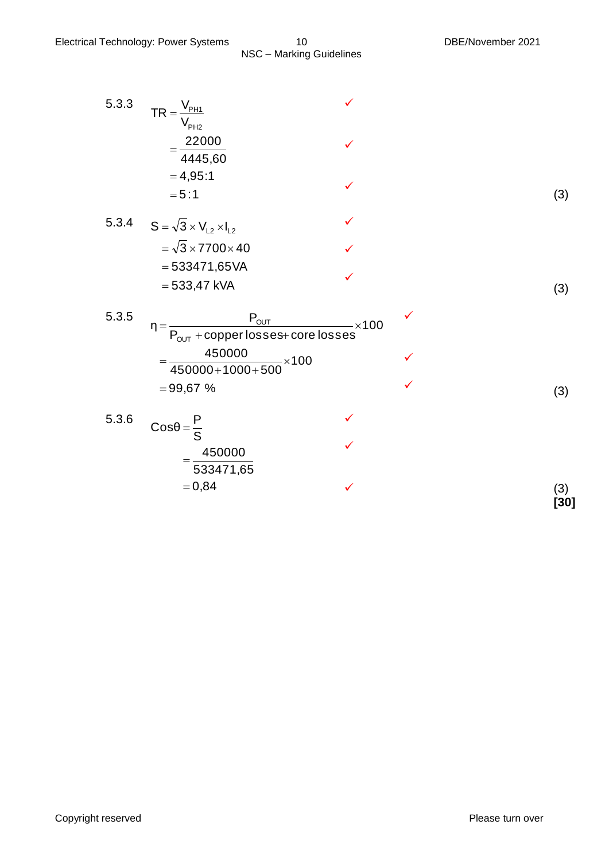| 5.3.3 | V <sub>PH1</sub><br>$TR =$<br>$\mathsf{V}_{\mathsf{PH2}}$                                               |              |   |               |
|-------|---------------------------------------------------------------------------------------------------------|--------------|---|---------------|
|       | 22000<br>4445,60                                                                                        |              |   |               |
|       | $= 4,95:1$<br>$= 5:1$                                                                                   | ✓            |   | (3)           |
| 5.3.4 | $S = \sqrt{3} \times V_{12} \times I_{12}$                                                              |              |   |               |
|       | $=\sqrt{3}\times 7700\times 40$                                                                         |              |   |               |
|       | $= 533471,65 VA$                                                                                        |              |   |               |
|       | $= 533,47$ kVA                                                                                          |              |   | (3)           |
| 5.3.5 | $P_{\text{OUT}}$<br>$\eta =$<br>$\overline{P_{\text{OUT}} + \text{copper losses} + \text{core losses}}$ | $\times$ 100 | ✓ |               |
|       | 450000<br>$-x100$<br>$450000+1000+500$                                                                  |              |   |               |
|       | $= 99,67$ %                                                                                             |              |   | (3)           |
| 5.3.6 | $\cos\theta = \frac{P}{S}$                                                                              |              |   |               |
|       | 450000<br>533471,65                                                                                     |              |   |               |
|       | $= 0,84$                                                                                                |              |   | (3)<br>$[30]$ |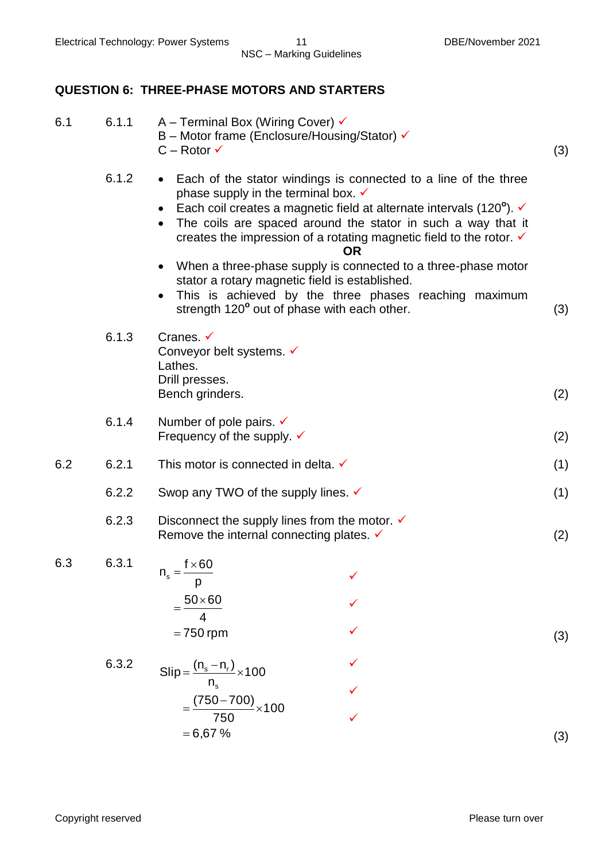#### **QUESTION 6: THREE-PHASE MOTORS AND STARTERS**

| 6.1 | 6.1.1 | A – Terminal Box (Wiring Cover) $\checkmark$<br>B - Motor frame (Enclosure/Housing/Stator) √<br>$C - Rotor \checkmark$                                                                                                                                                                                                                                                                                  | (3) |
|-----|-------|---------------------------------------------------------------------------------------------------------------------------------------------------------------------------------------------------------------------------------------------------------------------------------------------------------------------------------------------------------------------------------------------------------|-----|
|     | 6.1.2 | Each of the stator windings is connected to a line of the three<br>$\bullet$<br>phase supply in the terminal box. $\checkmark$<br>Each coil creates a magnetic field at alternate intervals (120 $^{\circ}$ ). $\checkmark$<br>$\bullet$<br>The coils are spaced around the stator in such a way that it<br>creates the impression of a rotating magnetic field to the rotor. $\checkmark$<br><b>OR</b> |     |
|     |       | When a three-phase supply is connected to a three-phase motor<br>$\bullet$<br>stator a rotary magnetic field is established.<br>This is achieved by the three phases reaching maximum<br>$\bullet$<br>strength 120° out of phase with each other.                                                                                                                                                       | (3) |
|     | 6.1.3 | Cranes. $\checkmark$<br>Conveyor belt systems. V<br>Lathes.<br>Drill presses.<br>Bench grinders.                                                                                                                                                                                                                                                                                                        | (2) |
|     | 6.1.4 | Number of pole pairs. $\checkmark$<br>Frequency of the supply. $\checkmark$                                                                                                                                                                                                                                                                                                                             | (2) |
| 6.2 | 6.2.1 | This motor is connected in delta. √                                                                                                                                                                                                                                                                                                                                                                     | (1) |
|     | 6.2.2 | Swop any TWO of the supply lines. $\checkmark$                                                                                                                                                                                                                                                                                                                                                          | (1) |
|     | 6.2.3 | Disconnect the supply lines from the motor. $\checkmark$<br>Remove the internal connecting plates. $\checkmark$                                                                                                                                                                                                                                                                                         | (2) |
| 6.3 | 6.3.1 | $f \times 60$<br>$n_{\rm s}$ = -<br>p<br>$\frac{50\times60}{2}$                                                                                                                                                                                                                                                                                                                                         |     |
|     |       | $= 750$ rpm                                                                                                                                                                                                                                                                                                                                                                                             | (3) |
|     | 6.3.2 | $Slip = \frac{(n_s - n_r)}{n_s} \times 100$                                                                                                                                                                                                                                                                                                                                                             |     |
|     |       |                                                                                                                                                                                                                                                                                                                                                                                                         |     |
|     |       | $=\frac{(750-700)}{750}\times100$                                                                                                                                                                                                                                                                                                                                                                       |     |
|     |       | $= 6,67%$                                                                                                                                                                                                                                                                                                                                                                                               | (3) |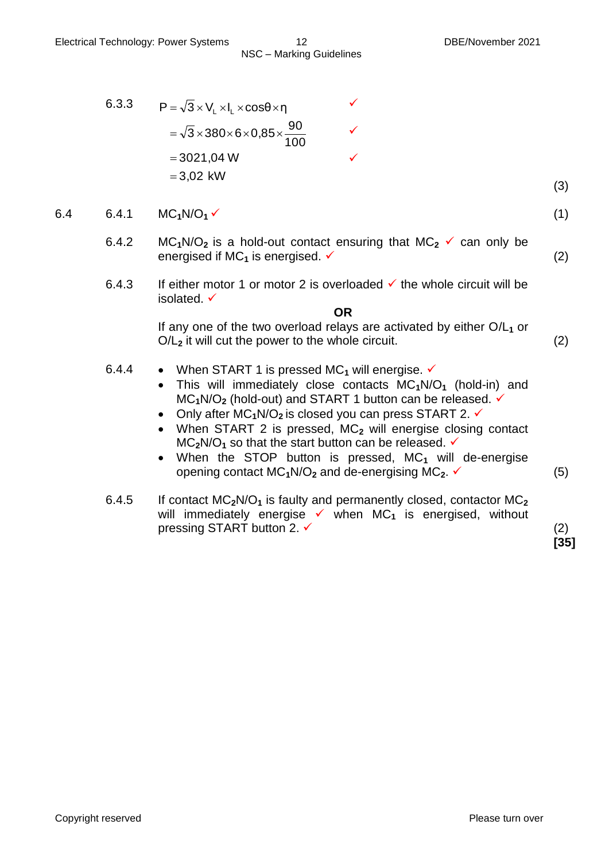6.3.3 
$$
P = \sqrt{3} \times V_L \times I_L \times \cos\theta \times \eta
$$
  
=  $\sqrt{3} \times 380 \times 6 \times 0,85 \times \frac{90}{100}$   
= 3021,04 W  
= 3,02 kW

6.4 6.4.1 MC<sub>1</sub>N/O<sub>1</sub>  $\times$  (1)

6.4.2 MC<sub>1</sub>N/O<sub>2</sub> is a hold-out contact ensuring that MC<sub>2</sub>  $\checkmark$  can only be energised if  $MC_1$  is energised.  $\checkmark$  (2)

 $\checkmark$ 

 $\checkmark$ 

6.4.3 If either motor 1 or motor 2 is overloaded  $\checkmark$  the whole circuit will be isolated.

**OR**

If any one of the two overload relays are activated by either  $O/L<sub>1</sub>$  or  $O/L<sub>2</sub>$  it will cut the power to the whole circuit.  $(2)$ 

- 6.4.4 When START 1 is pressed MC<sub>1</sub> will energise.  $\checkmark$ 
	- This will immediately close contacts MC**1**N/O**<sup>1</sup>** (hold-in) and MC**1**N/O**<sup>2</sup>** (hold-out) and START 1 button can be released.
	- Only after MC<sub>1</sub>N/O<sub>2</sub> is closed you can press START 2. <del>√</del>
	- When START 2 is pressed, MC**<sup>2</sup>** will energise closing contact  $MC<sub>2</sub>N/O<sub>1</sub>$  so that the start button can be released.  $\checkmark$
	- When the STOP button is pressed, MC<sub>1</sub> will de-energise opening contact  $MC_1N/O_2$  and de-energising  $MC_2$ .  $\checkmark$  (5)
- 6.4.5 If contact MC**2**N/O**<sup>1</sup>** is faulty and permanently closed, contactor MC**<sup>2</sup>** will immediately energise  $\checkmark$  when MC<sub>1</sub> is energised, without pressing START button 2.  $\checkmark$  (2)

**[35]**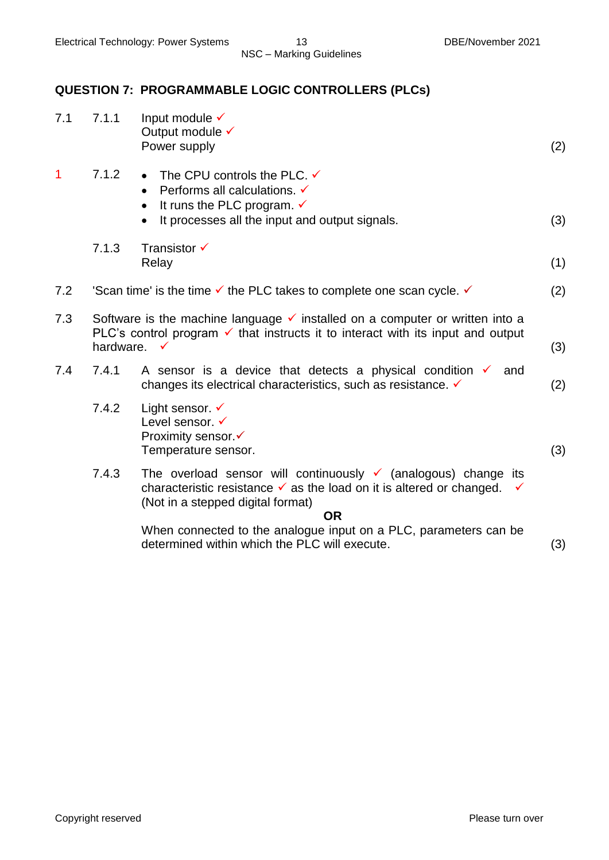#### **QUESTION 7: PROGRAMMABLE LOGIC CONTROLLERS (PLCs)**

| 7.1         | 7.1.1                                                                                                                                                                                                              | Input module $\checkmark$<br>Output module √<br>Power supply                                                                                                                                                        | (2) |
|-------------|--------------------------------------------------------------------------------------------------------------------------------------------------------------------------------------------------------------------|---------------------------------------------------------------------------------------------------------------------------------------------------------------------------------------------------------------------|-----|
| $\mathbf 1$ | 7.1.2                                                                                                                                                                                                              | • The CPU controls the PLC. $\checkmark$<br>Performs all calculations. V<br>$\bullet$<br>It runs the PLC program. $\checkmark$<br>It processes all the input and output signals.<br>$\bullet$                       | (3) |
|             | 7.1.3                                                                                                                                                                                                              | Transistor $\checkmark$<br>Relay                                                                                                                                                                                    | (1) |
| 7.2         |                                                                                                                                                                                                                    | Scan time' is the time $\checkmark$ the PLC takes to complete one scan cycle. $\checkmark$                                                                                                                          | (2) |
| 7.3         | Software is the machine language $\checkmark$ installed on a computer or written into a<br>PLC's control program $\checkmark$ that instructs it to interact with its input and output<br>hardware.<br>$\checkmark$ |                                                                                                                                                                                                                     |     |
| 7.4         | 7.4.1                                                                                                                                                                                                              | A sensor is a device that detects a physical condition $\checkmark$<br>and<br>changes its electrical characteristics, such as resistance. V                                                                         | (2) |
|             | 7.4.2                                                                                                                                                                                                              | Light sensor. $\checkmark$<br>Level sensor. √<br>Proximity sensor.√<br>Temperature sensor.                                                                                                                          | (3) |
|             | 7.4.3                                                                                                                                                                                                              | The overload sensor will continuously $\checkmark$ (analogous) change its<br>characteristic resistance $\checkmark$ as the load on it is altered or changed.<br>✓<br>(Not in a stepped digital format)<br><b>OR</b> |     |
|             |                                                                                                                                                                                                                    | When connected to the analogue input on a PLC, parameters can be<br>determined within which the PLC will execute.                                                                                                   | (3) |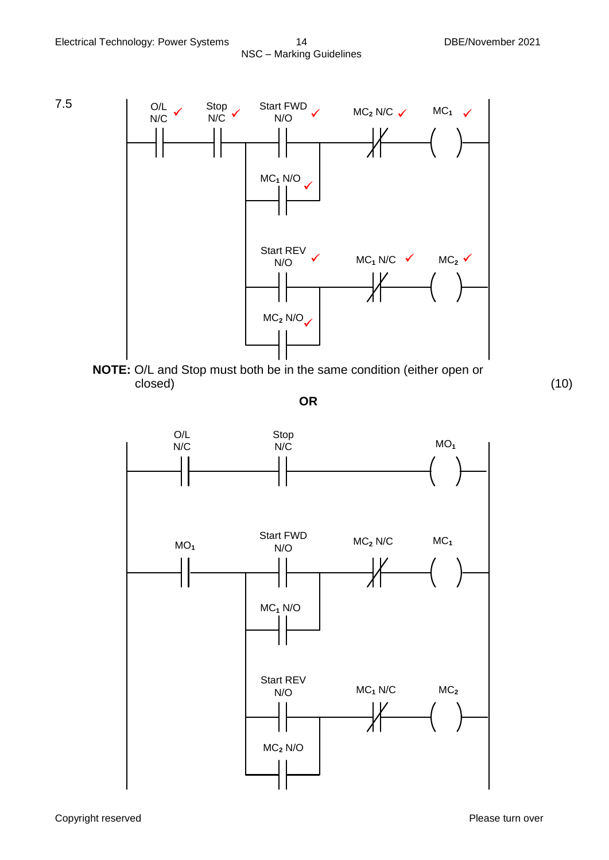



**OR**